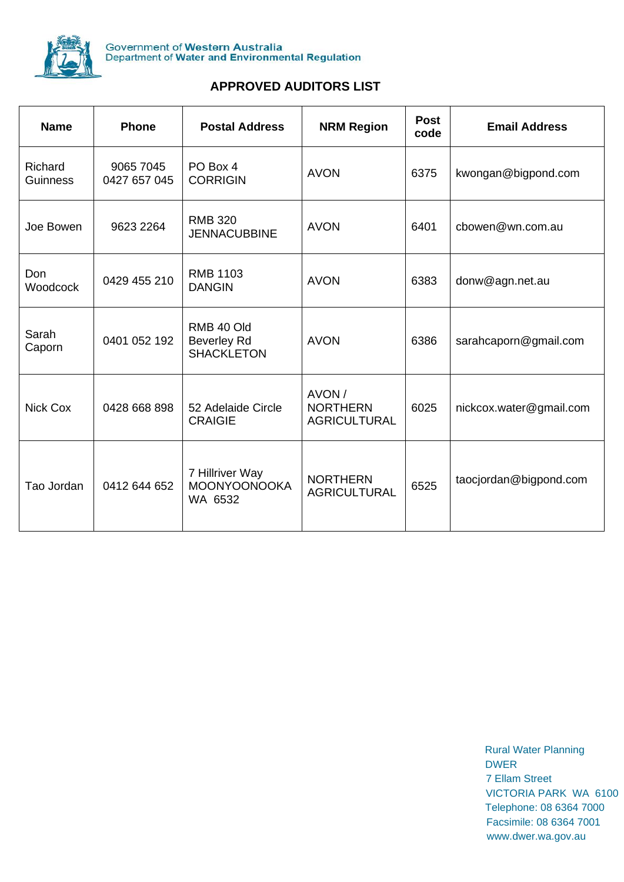

## **APPROVED AUDITORS LIST**

| <b>Name</b>         | <b>Phone</b>              | <b>Postal Address</b>                                 | <b>NRM Region</b>                                | <b>Post</b><br>code | <b>Email Address</b>    |
|---------------------|---------------------------|-------------------------------------------------------|--------------------------------------------------|---------------------|-------------------------|
| Richard<br>Guinness | 9065 7045<br>0427 657 045 | PO Box 4<br><b>CORRIGIN</b>                           | <b>AVON</b>                                      | 6375                | kwongan@bigpond.com     |
| Joe Bowen           | 9623 2264                 | <b>RMB 320</b><br><b>JENNACUBBINE</b>                 | <b>AVON</b>                                      | 6401                | cbowen@wn.com.au        |
| Don<br>Woodcock     | 0429 455 210              | <b>RMB 1103</b><br><b>DANGIN</b>                      | <b>AVON</b>                                      | 6383                | donw@agn.net.au         |
| Sarah<br>Caporn     | 0401 052 192              | RMB 40 Old<br><b>Beverley Rd</b><br><b>SHACKLETON</b> | <b>AVON</b>                                      | 6386                | sarahcaporn@gmail.com   |
| <b>Nick Cox</b>     | 0428 668 898              | 52 Adelaide Circle<br><b>CRAIGIE</b>                  | AVON /<br><b>NORTHERN</b><br><b>AGRICULTURAL</b> | 6025                | nickcox.water@gmail.com |
| Tao Jordan          | 0412 644 652              | 7 Hillriver Way<br><b>MOONYOONOOKA</b><br>WA 6532     | <b>NORTHERN</b><br><b>AGRICULTURAL</b>           | 6525                | taocjordan@bigpond.com  |

 Rural Water Planning **DWER** DESCRIPTION OF A RESIDENCE OF A RESIDENCE OF A RESIDENCE OF A RESIDENCE OF A RESIDENCE OF A RESIDENCE OF A RESIDENCE OF A RESIDENCE OF A RESIDENCE OF A RESIDENCE OF A RESIDENCE OF A RESIDENCE OF A RESIDENCE OF A RES 7 Ellam Street VICTORIA PARK WA 6100 Telephone: 08 6364 7000 Facsimile: 08 6364 7001 [www.dwer.wa.gov.au](http://www.dwer.wa.gov.au/)